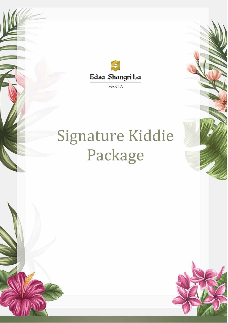

**MANILA** 

# Signature Kiddie Package

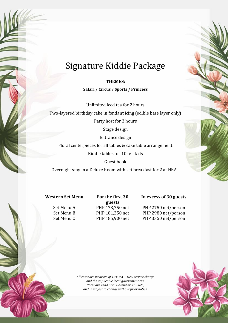# Signature Kiddie Package

**THEMES:** 

**Safari / Circus / Sports / Princess** 

Unlimited iced tea for 2 hours

Two-layered birthday cake in fondant icing (edible base layer only)

Party host for 3 hours

Stage design

Entrance design

Floral centerpieces for all tables & cake table arrangement

Kiddie tables for 10 ten kids

Guest book

Overnight stay in a Deluxe Room with set breakfast for 2 at HEAT

## **Western Set Menu For the first 30**

**guests**

### **In excess of 30 guests**

Set Menu A PHP 173,750 net PHP 2750 net/person Set Menu B PHP 181,250 net PHP 2980 net/person Set Menu C PHP 185,900 net PHP 3350 net/person

> *All rates are inclusive of 12% VAT, 10% service charge and the applicable local government tax. Rates are valid until December 31, 2021, and is subject to change without prior notice.*